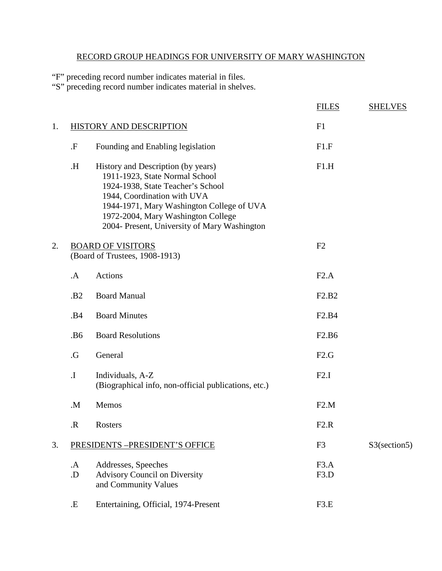## RECORD GROUP HEADINGS FOR UNIVERSITY OF MARY WASHINGTON

"F" preceding record number indicates material in files.

"S" preceding record number indicates material in shelves.

|    |                 |                                                                                                                                                                                                                                                                             | <b>FILES</b>                   | <b>SHELVES</b>  |
|----|-----------------|-----------------------------------------------------------------------------------------------------------------------------------------------------------------------------------------------------------------------------------------------------------------------------|--------------------------------|-----------------|
| 1. |                 | HISTORY AND DESCRIPTION                                                                                                                                                                                                                                                     | F1                             |                 |
|    | $\cdot$ F       | Founding and Enabling legislation                                                                                                                                                                                                                                           | F1.F                           |                 |
|    | Η.              | History and Description (by years)<br>1911-1923, State Normal School<br>1924-1938, State Teacher's School<br>1944, Coordination with UVA<br>1944-1971, Mary Washington College of UVA<br>1972-2004, Mary Washington College<br>2004- Present, University of Mary Washington | F1.H                           |                 |
| 2. |                 | <b>BOARD OF VISITORS</b><br>(Board of Trustees, 1908-1913)                                                                                                                                                                                                                  | F2                             |                 |
|    | $\mathbf{A}$    | Actions                                                                                                                                                                                                                                                                     | F2.A                           |                 |
|    | .B <sub>2</sub> | <b>Board Manual</b>                                                                                                                                                                                                                                                         | F2.B2                          |                 |
|    | .B4             | <b>Board Minutes</b>                                                                                                                                                                                                                                                        | F <sub>2.</sub> B <sub>4</sub> |                 |
|    | .B6             | <b>Board Resolutions</b>                                                                                                                                                                                                                                                    | F <sub>2.</sub> B <sub>6</sub> |                 |
|    | .G              | General                                                                                                                                                                                                                                                                     | F2.G                           |                 |
|    | $\mathbf I$ .   | Individuals, A-Z<br>(Biographical info, non-official publications, etc.)                                                                                                                                                                                                    | F2.I                           |                 |
|    | M.              | Memos                                                                                                                                                                                                                                                                       | F2.M                           |                 |
|    | $\mathbf R$     | Rosters                                                                                                                                                                                                                                                                     | F2.R                           |                 |
| 3. |                 | PRESIDENTS - PRESIDENT'S OFFICE                                                                                                                                                                                                                                             | F <sub>3</sub>                 | $S3$ (section5) |
|    | .A<br>.D        | Addresses, Speeches<br><b>Advisory Council on Diversity</b><br>and Community Values                                                                                                                                                                                         | F3.A<br>F3.D                   |                 |
|    | .E              | Entertaining, Official, 1974-Present                                                                                                                                                                                                                                        | F3.E                           |                 |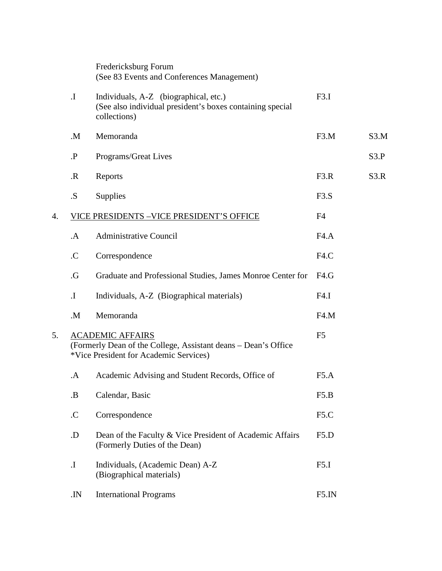|    |               | Fredericksburg Forum<br>(See 83 Events and Conferences Management)                                                                  |                   |      |
|----|---------------|-------------------------------------------------------------------------------------------------------------------------------------|-------------------|------|
|    | $\mathbf I$ . | Individuals, A-Z (biographical, etc.)<br>(See also individual president's boxes containing special<br>collections)                  | F3.I              |      |
|    | M.            | Memoranda                                                                                                                           | F <sub>3</sub> .M | S3.M |
|    | $\cdot$ P     | Programs/Great Lives                                                                                                                |                   | S3.P |
|    | $\mathbf R$   | Reports                                                                                                                             | F3.R              | S3.R |
|    | .S.           | Supplies                                                                                                                            | F3.S              |      |
| 4. |               | VICE PRESIDENTS - VICE PRESIDENT'S OFFICE                                                                                           | F <sub>4</sub>    |      |
|    | $\mathbf{A}$  | <b>Administrative Council</b>                                                                                                       | FA.A              |      |
|    | $\mathcal{C}$ | Correspondence                                                                                                                      | F4.C              |      |
|    | .G            | Graduate and Professional Studies, James Monroe Center for                                                                          | F4.G              |      |
|    | $\mathbf I$ . | Individuals, A-Z (Biographical materials)                                                                                           | F4.I              |      |
|    | M.            | Memoranda                                                                                                                           | F4.M              |      |
| 5. |               | <b>ACADEMIC AFFAIRS</b><br>(Formerly Dean of the College, Assistant deans - Dean's Office<br>*Vice President for Academic Services) | F <sub>5</sub>    |      |
|    | $\mathbf A$   | Academic Advising and Student Records, Office of                                                                                    | F5.A              |      |
|    | <b>B</b> .    | Calendar, Basic                                                                                                                     | F5.B              |      |
|    | $\mathcal{C}$ | Correspondence                                                                                                                      | F <sub>5</sub> .C |      |
|    | .D            | Dean of the Faculty & Vice President of Academic Affairs<br>(Formerly Duties of the Dean)                                           | F5.D              |      |
|    | $\mathbf I$ . | Individuals, (Academic Dean) A-Z<br>(Biographical materials)                                                                        | F5.I              |      |
|    | IN.           | <b>International Programs</b>                                                                                                       | F5.IN             |      |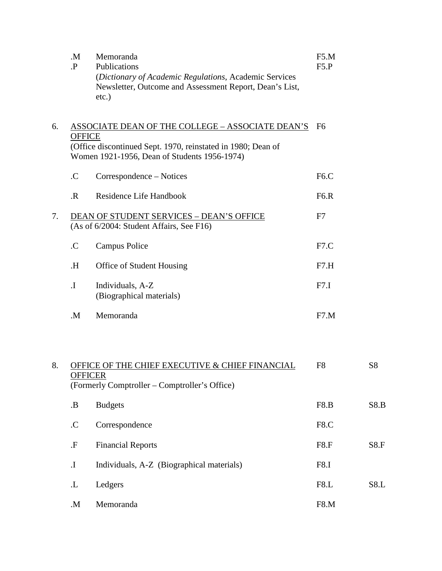|    | M.<br>$\cdot$ P           | Memoranda<br>Publications<br>(Dictionary of Academic Regulations, Academic Services<br>Newsletter, Outcome and Assessment Report, Dean's List,<br>$etc.$ )       | F5.M<br>F5.P      |                |
|----|---------------------------|------------------------------------------------------------------------------------------------------------------------------------------------------------------|-------------------|----------------|
| 6. | <b>OFFICE</b>             | ASSOCIATE DEAN OF THE COLLEGE - ASSOCIATE DEAN'S<br>(Office discontinued Sept. 1970, reinstated in 1980; Dean of<br>Women 1921-1956, Dean of Students 1956-1974) | F <sub>6</sub>    |                |
|    | $\mathcal{C}$             | Correspondence – Notices                                                                                                                                         | F <sub>6</sub> .C |                |
|    | $\overline{R}$            | Residence Life Handbook                                                                                                                                          | F6.R              |                |
| 7. |                           | <b>DEAN OF STUDENT SERVICES - DEAN'S OFFICE</b><br>(As of 6/2004: Student Affairs, See F16)                                                                      | F7                |                |
|    | $\mathcal{C}$             | <b>Campus Police</b>                                                                                                                                             | F7.C              |                |
|    | Η.                        | Office of Student Housing                                                                                                                                        | F7.H              |                |
|    | $\mathbf I$               | Individuals, A-Z<br>(Biographical materials)                                                                                                                     | F7.I              |                |
|    | M.                        | Memoranda                                                                                                                                                        | F7.M              |                |
| 8. | <b>OFFICER</b>            | <b>OFFICE OF THE CHIEF EXECUTIVE &amp; CHIEF FINANCIAL</b><br>(Formerly Comptroller – Comptroller's Office)                                                      | F <sub>8</sub>    | S <sub>8</sub> |
|    | <b>.B</b>                 | <b>Budgets</b>                                                                                                                                                   | F8.B              | S8.B           |
|    | $\mathcal{C}$             | Correspondence                                                                                                                                                   | F8.C              |                |
|    | $\cdot$ F                 | <b>Financial Reports</b>                                                                                                                                         | F8.F              | S8.F           |
|    | $\boldsymbol{\mathrm{I}}$ | Individuals, A-Z (Biographical materials)                                                                                                                        | F8.I              |                |
|    | $\mathbf{L}$              | Ledgers                                                                                                                                                          | F8.L              | S8.L           |
|    | $M_{\odot}$               | Memoranda                                                                                                                                                        | F8.M              |                |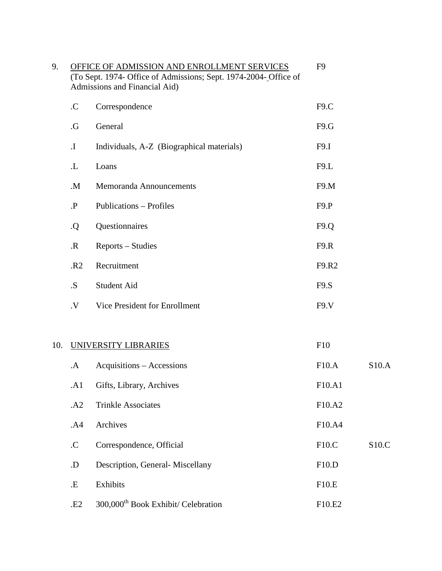| 9.  |                | OFFICE OF ADMISSION AND ENROLLMENT SERVICES<br>(To Sept. 1974- Office of Admissions; Sept. 1974-2004- Office of<br>Admissions and Financial Aid) | F <sub>9</sub>                  |       |
|-----|----------------|--------------------------------------------------------------------------------------------------------------------------------------------------|---------------------------------|-------|
|     | C              | Correspondence                                                                                                                                   | F9.C                            |       |
|     | $\cdot G$      | General                                                                                                                                          | F9.G                            |       |
|     | $\mathbf I$ .  | Individuals, A-Z (Biographical materials)                                                                                                        | F9.I                            |       |
|     | L.             | Loans                                                                                                                                            | F9.L                            |       |
|     | .M.            | Memoranda Announcements                                                                                                                          | F9.M                            |       |
|     | $\cdot$ P      | Publications - Profiles                                                                                                                          | F9.P                            |       |
|     | Q.             | Questionnaires                                                                                                                                   | F9.Q                            |       |
|     | $\mathbf{R}$   | Reports – Studies                                                                                                                                | F9.R                            |       |
|     | R <sub>2</sub> | Recruitment                                                                                                                                      | F9.R2                           |       |
|     | .S.            | Student Aid                                                                                                                                      | F9.S                            |       |
|     | .V             | Vice President for Enrollment                                                                                                                    | F9. V                           |       |
|     |                |                                                                                                                                                  |                                 |       |
| 10. |                | UNIVERSITY LIBRARIES                                                                                                                             | F10                             |       |
|     | .A             | Acquisitions - Accessions                                                                                                                        | F10.A                           | S10.A |
|     | A1             | Gifts, Library, Archives                                                                                                                         | F <sub>10</sub> .A <sub>1</sub> |       |
|     | .A2            | <b>Trinkle Associates</b>                                                                                                                        | F10.A2                          |       |
|     | .A4            | Archives                                                                                                                                         | F10.A4                          |       |
|     | $\mathcal{C}$  | Correspondence, Official                                                                                                                         | F10.C                           | S10.C |
|     | .D             | Description, General-Miscellany                                                                                                                  | F10.D                           |       |
|     | .E             | Exhibits                                                                                                                                         | F10.E                           |       |
|     | .E2            | 300,000 <sup>th</sup> Book Exhibit/ Celebration                                                                                                  | F10.E2                          |       |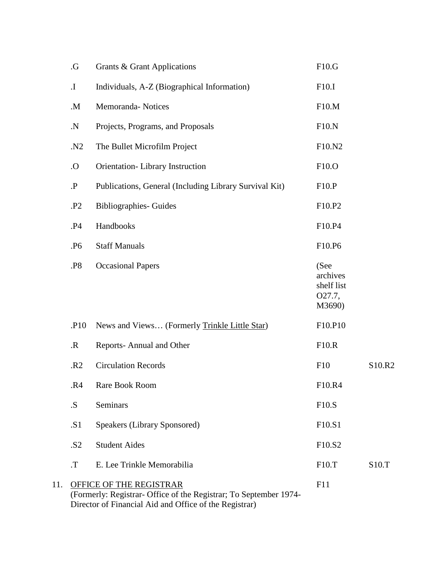|     | $\cdot G$                  | Grants & Grant Applications                                                                                                                                   | F10.G                                              |        |
|-----|----------------------------|---------------------------------------------------------------------------------------------------------------------------------------------------------------|----------------------------------------------------|--------|
|     | $\boldsymbol{\mathrm{I}}.$ | Individuals, A-Z (Biographical Information)                                                                                                                   | F10.I                                              |        |
|     | .M.                        | Memoranda-Notices                                                                                                                                             | F10.M                                              |        |
|     | ${\bf N}$                  | Projects, Programs, and Proposals                                                                                                                             | F10.N                                              |        |
|     | .N2                        | The Bullet Microfilm Project                                                                                                                                  | F10.N2                                             |        |
|     | O.                         | Orientation-Library Instruction                                                                                                                               | F10.O                                              |        |
|     | $\cdot$ P                  | Publications, General (Including Library Survival Kit)                                                                                                        | F10.P                                              |        |
|     | .P <sub>2</sub>            | <b>Bibliographies- Guides</b>                                                                                                                                 | F10.P2                                             |        |
|     | <b>P4</b> .                | Handbooks                                                                                                                                                     | F10.P4                                             |        |
|     | .P <sub>6</sub>            | <b>Staff Manuals</b>                                                                                                                                          | F10.P6                                             |        |
|     | .P8                        | <b>Occasional Papers</b>                                                                                                                                      | (See<br>archives<br>shelf list<br>O27.7,<br>M3690) |        |
|     | .P10                       | News and Views (Formerly Trinkle Little Star)                                                                                                                 | F10.P10                                            |        |
|     | $\cdot$ R                  | Reports-Annual and Other                                                                                                                                      | F10.R                                              |        |
|     | R <sub>2</sub>             | <b>Circulation Records</b>                                                                                                                                    | F10                                                | S10.R2 |
|     | .R4                        | Rare Book Room                                                                                                                                                | F10.R4                                             |        |
|     | .S.                        | <b>Seminars</b>                                                                                                                                               | F10.S                                              |        |
|     | .S1                        | <b>Speakers (Library Sponsored)</b>                                                                                                                           | F <sub>10.S<sub>1</sub></sub>                      |        |
|     | .52                        | <b>Student Aides</b>                                                                                                                                          | F10.S2                                             |        |
|     | $T$ .                      | E. Lee Trinkle Memorabilia                                                                                                                                    | F10.T                                              | S10.T  |
| 11. |                            | <b>OFFICE OF THE REGISTRAR</b><br>(Formerly: Registrar- Office of the Registrar; To September 1974-<br>Director of Financial Aid and Office of the Registrar) | F11                                                |        |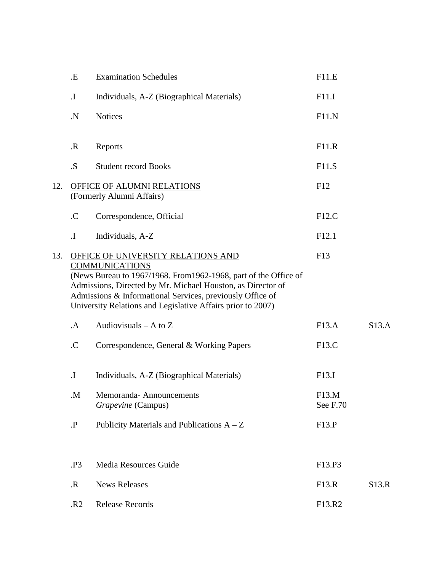|     | .E                 | <b>Examination Schedules</b>                                                                                                                                                                                                                                                                                               | F11.E             |       |
|-----|--------------------|----------------------------------------------------------------------------------------------------------------------------------------------------------------------------------------------------------------------------------------------------------------------------------------------------------------------------|-------------------|-------|
|     | $\mathbf I$ .      | Individuals, A-Z (Biographical Materials)                                                                                                                                                                                                                                                                                  | F11.I             |       |
|     | $\mathbf N$        | <b>Notices</b>                                                                                                                                                                                                                                                                                                             | F11.N             |       |
|     | $\cdot$ R          | Reports                                                                                                                                                                                                                                                                                                                    | F11.R             |       |
|     | .S.                | <b>Student record Books</b>                                                                                                                                                                                                                                                                                                | F11.S             |       |
| 12. |                    | OFFICE OF ALUMNI RELATIONS<br>(Formerly Alumni Affairs)                                                                                                                                                                                                                                                                    | F12               |       |
|     | $\mathcal{C}$      | Correspondence, Official                                                                                                                                                                                                                                                                                                   | F12.C             |       |
|     | $\mathbf I$ .      | Individuals, A-Z                                                                                                                                                                                                                                                                                                           | F12.1             |       |
| 13. |                    | OFFICE OF UNIVERSITY RELATIONS AND<br><b>COMMUNICATIONS</b><br>(News Bureau to 1967/1968. From 1962-1968, part of the Office of<br>Admissions, Directed by Mr. Michael Houston, as Director of<br>Admissions & Informational Services, previously Office of<br>University Relations and Legislative Affairs prior to 2007) | F13               |       |
|     | $\mathbf A$        | Audiovisuals $- A$ to $Z$                                                                                                                                                                                                                                                                                                  | F13.A             | S13.A |
|     | $\mathcal{C}$      | Correspondence, General & Working Papers                                                                                                                                                                                                                                                                                   | F13.C             |       |
|     | $\mathbf I$ .      | Individuals, A-Z (Biographical Materials)                                                                                                                                                                                                                                                                                  | F13.I             |       |
|     | M.                 | Memoranda-Announcements<br>Grapevine (Campus)                                                                                                                                                                                                                                                                              | F13.M<br>See F.70 |       |
|     | $\cdot \mathbf{P}$ | Publicity Materials and Publications $A - Z$                                                                                                                                                                                                                                                                               | F13.P             |       |
|     | .P3                | Media Resources Guide                                                                                                                                                                                                                                                                                                      | F13.P3            |       |
|     |                    | <b>News Releases</b>                                                                                                                                                                                                                                                                                                       |                   |       |
|     | $\mathbf R$        |                                                                                                                                                                                                                                                                                                                            | F13.R             | S13.R |
|     | .R2                | <b>Release Records</b>                                                                                                                                                                                                                                                                                                     | F13.R2            |       |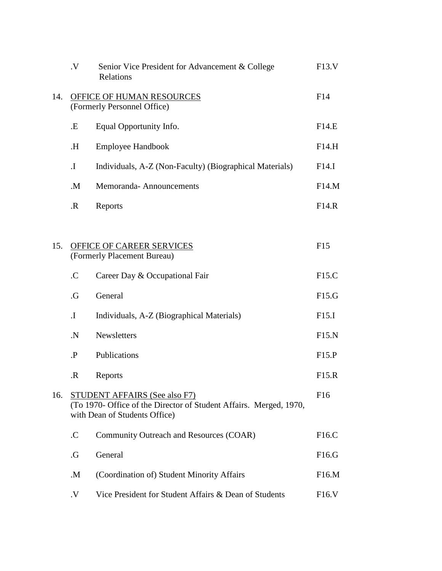|     | $\cdot$ V     | Senior Vice President for Advancement & College<br>Relations                                                                                | F13.V              |
|-----|---------------|---------------------------------------------------------------------------------------------------------------------------------------------|--------------------|
| 14. |               | OFFICE OF HUMAN RESOURCES<br>(Formerly Personnel Office)                                                                                    | F14                |
|     | .E            | Equal Opportunity Info.                                                                                                                     | F14.E              |
|     | Н.            | <b>Employee Handbook</b>                                                                                                                    | F14.H              |
|     | $\mathbf I$   | Individuals, A-Z (Non-Faculty) (Biographical Materials)                                                                                     | F14.I              |
|     | .M.           | Memoranda-Announcements                                                                                                                     | F14.M              |
|     | $\mathbf R$   | Reports                                                                                                                                     | F14.R              |
|     |               |                                                                                                                                             |                    |
| 15. |               | <b>OFFICE OF CAREER SERVICES</b><br>(Formerly Placement Bureau)                                                                             | F15                |
|     | $\mathcal{C}$ | Career Day & Occupational Fair                                                                                                              | F15.C              |
|     | .G            | General                                                                                                                                     | F15.G              |
|     | $\mathbf I$ . | Individuals, A-Z (Biographical Materials)                                                                                                   | F15.I              |
|     | $\mathbf N$   | Newsletters                                                                                                                                 | F15.N              |
|     | $\cdot$ P     | Publications                                                                                                                                | F15.P              |
|     | $\mathbf R$   | Reports                                                                                                                                     | F15.R              |
| 16. |               | <b>STUDENT AFFAIRS (See also F7)</b><br>(To 1970- Office of the Director of Student Affairs. Merged, 1970,<br>with Dean of Students Office) | F <sub>16</sub>    |
|     | $\mathcal{C}$ | Community Outreach and Resources (COAR)                                                                                                     | F16.C              |
|     | .G            | General                                                                                                                                     | F16.G              |
|     | $M_{\cdot}$   | (Coordination of) Student Minority Affairs                                                                                                  | F16.M              |
|     | $\cdot$ V     | Vice President for Student Affairs & Dean of Students                                                                                       | F <sub>16</sub> .V |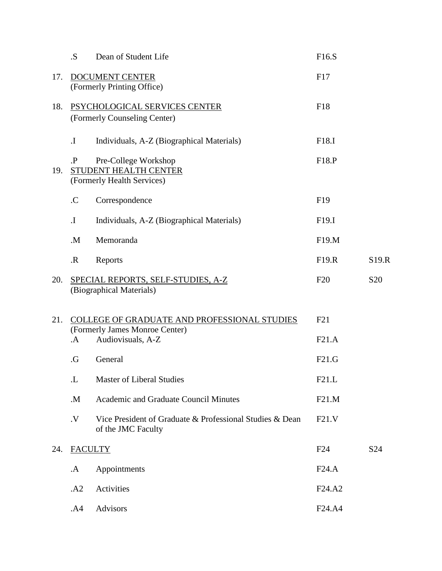|     | .S.            | Dean of Student Life                                                                                | F16.S             |                 |
|-----|----------------|-----------------------------------------------------------------------------------------------------|-------------------|-----------------|
| 17. |                | DOCUMENT CENTER<br>(Formerly Printing Office)                                                       | F17               |                 |
| 18. |                | PSYCHOLOGICAL SERVICES CENTER<br>(Formerly Counseling Center)                                       | F18               |                 |
|     | $\mathbf I$ .  | Individuals, A-Z (Biographical Materials)                                                           | F18.I             |                 |
| 19. | $\mathbf{P}$   | Pre-College Workshop<br>STUDENT HEALTH CENTER<br>(Formerly Health Services)                         | F18.P             |                 |
|     | $\mathcal{C}$  | Correspondence                                                                                      | F19               |                 |
|     | $\mathbf I$    | Individuals, A-Z (Biographical Materials)                                                           | F <sub>19.I</sub> |                 |
|     | .M.            | Memoranda                                                                                           | F19.M             |                 |
|     | $\mathbf R$    | Reports                                                                                             | F19.R             | S19.R           |
| 20. |                | <b>SPECIAL REPORTS, SELF-STUDIES, A-Z</b><br>(Biographical Materials)                               | F20               | S <sub>20</sub> |
| 21. | $\mathbf A$    | COLLEGE OF GRADUATE AND PROFESSIONAL STUDIES<br>(Formerly James Monroe Center)<br>Audiovisuals, A-Z | F21<br>F21.A      |                 |
|     | .G             | General                                                                                             | F21.G             |                 |
|     | L.             | <b>Master of Liberal Studies</b>                                                                    | F21.L             |                 |
|     | $M_{\cdot}$    | Academic and Graduate Council Minutes                                                               | F21.M             |                 |
|     | $\mathbf{V}$   | Vice President of Graduate & Professional Studies & Dean<br>of the JMC Faculty                      | F21.V             |                 |
| 24. | <b>FACULTY</b> |                                                                                                     | F24               | S <sub>24</sub> |
|     | .A             | Appointments                                                                                        | F24.A             |                 |
|     | .A2            | Activities                                                                                          | F24.A2            |                 |
|     | .A4            | Advisors                                                                                            | F24.A4            |                 |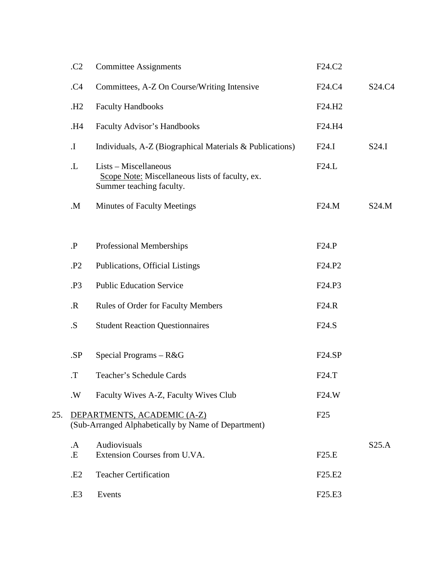|     | C <sub>2</sub>     | <b>Committee Assignments</b>                                                                         | F24.C2                          |                                 |
|-----|--------------------|------------------------------------------------------------------------------------------------------|---------------------------------|---------------------------------|
|     | .C4                | Committees, A-Z On Course/Writing Intensive                                                          | F24.C4                          | S <sub>24</sub> .C <sub>4</sub> |
|     | .H <sub>2</sub>    | <b>Faculty Handbooks</b>                                                                             | F24.H2                          |                                 |
|     | H4.                | <b>Faculty Advisor's Handbooks</b>                                                                   | F24.H4                          |                                 |
|     | $\mathbf{I}.$      | Individuals, A-Z (Biographical Materials & Publications)                                             | F24.I                           | S24.I                           |
|     | $\mathbf{L}$       | Lists – Miscellaneous<br>Scope Note: Miscellaneous lists of faculty, ex.<br>Summer teaching faculty. | F24.L                           |                                 |
|     | $M_{\cdot}$        | <b>Minutes of Faculty Meetings</b>                                                                   | F24.M                           | S24.M                           |
|     | $\cdot \mathbf{P}$ | <b>Professional Memberships</b>                                                                      | F24.P                           |                                 |
|     | .P <sub>2</sub>    | <b>Publications, Official Listings</b>                                                               | F <sub>24</sub> .P <sub>2</sub> |                                 |
|     | .P3                | <b>Public Education Service</b>                                                                      | F24.P3                          |                                 |
|     | $\mathbf{R}$       | Rules of Order for Faculty Members                                                                   | F24.R                           |                                 |
|     | .S.                | <b>Student Reaction Questionnaires</b>                                                               | F24.S                           |                                 |
|     | .SP                | Special Programs - R&G                                                                               | F24.SP                          |                                 |
|     | $T$ .              | Teacher's Schedule Cards                                                                             | F24.T                           |                                 |
|     | .W                 | Faculty Wives A-Z, Faculty Wives Club                                                                | F24.W                           |                                 |
| 25. |                    | DEPARTMENTS, ACADEMIC (A-Z)<br>(Sub-Arranged Alphabetically by Name of Department)                   | F25                             |                                 |
|     | .A                 | Audiovisuals                                                                                         |                                 | S25.A                           |
|     | .E                 | Extension Courses from U.VA.                                                                         | F25.E                           |                                 |
|     | .E2                | <b>Teacher Certification</b>                                                                         | F <sub>25.E<sub>2</sub></sub>   |                                 |
|     | .E3                | Events                                                                                               | F <sub>25</sub> .E <sub>3</sub> |                                 |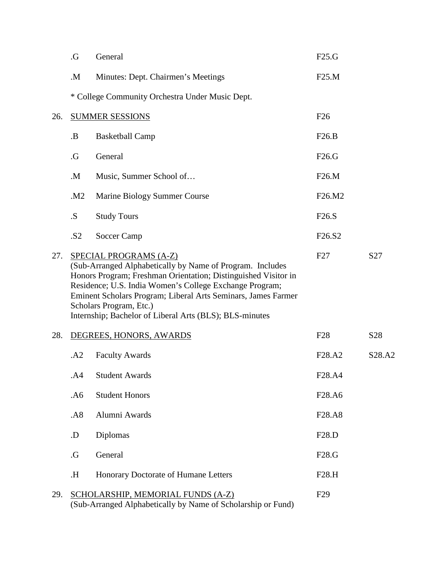|     | .G         | General                                                                                                                                                                                                                                                                                                                                                                 | F25.G                           |                                 |
|-----|------------|-------------------------------------------------------------------------------------------------------------------------------------------------------------------------------------------------------------------------------------------------------------------------------------------------------------------------------------------------------------------------|---------------------------------|---------------------------------|
|     | M.         | Minutes: Dept. Chairmen's Meetings                                                                                                                                                                                                                                                                                                                                      | F25.M                           |                                 |
|     |            | * College Community Orchestra Under Music Dept.                                                                                                                                                                                                                                                                                                                         |                                 |                                 |
| 26. |            | <b>SUMMER SESSIONS</b>                                                                                                                                                                                                                                                                                                                                                  | F26                             |                                 |
|     | <b>B</b> . | <b>Basketball Camp</b>                                                                                                                                                                                                                                                                                                                                                  | F26.B                           |                                 |
|     | .G         | General                                                                                                                                                                                                                                                                                                                                                                 | F26.G                           |                                 |
|     | M.         | Music, Summer School of                                                                                                                                                                                                                                                                                                                                                 | F26.M                           |                                 |
|     | .M2        | Marine Biology Summer Course                                                                                                                                                                                                                                                                                                                                            | F26.M2                          |                                 |
|     | .S.        | <b>Study Tours</b>                                                                                                                                                                                                                                                                                                                                                      | F26.S                           |                                 |
|     | .S2        | Soccer Camp                                                                                                                                                                                                                                                                                                                                                             | F <sub>26.S<sub>2</sub></sub>   |                                 |
| 27. |            | SPECIAL PROGRAMS (A-Z)<br>(Sub-Arranged Alphabetically by Name of Program. Includes<br>Honors Program; Freshman Orientation; Distinguished Visitor in<br>Residence; U.S. India Women's College Exchange Program;<br>Eminent Scholars Program; Liberal Arts Seminars, James Farmer<br>Scholars Program, Etc.)<br>Internship; Bachelor of Liberal Arts (BLS); BLS-minutes | F27                             | S27                             |
| 28. |            | DEGREES, HONORS, AWARDS                                                                                                                                                                                                                                                                                                                                                 | F <sub>28</sub>                 | S <sub>28</sub>                 |
|     | .A2        | <b>Faculty Awards</b>                                                                                                                                                                                                                                                                                                                                                   | F <sub>28</sub> .A <sub>2</sub> | S <sub>28</sub> .A <sub>2</sub> |
|     | .A4        | <b>Student Awards</b>                                                                                                                                                                                                                                                                                                                                                   | F28.A4                          |                                 |
|     | .A6        | <b>Student Honors</b>                                                                                                                                                                                                                                                                                                                                                   | F28.A6                          |                                 |
|     | .A8        | Alumni Awards                                                                                                                                                                                                                                                                                                                                                           | F <sub>28</sub> .A <sub>8</sub> |                                 |
|     | .D         | Diplomas                                                                                                                                                                                                                                                                                                                                                                | F28.D                           |                                 |
|     | .G         | General                                                                                                                                                                                                                                                                                                                                                                 | F28.G                           |                                 |
|     | Η.         | Honorary Doctorate of Humane Letters                                                                                                                                                                                                                                                                                                                                    | F28.H                           |                                 |
| 29. |            | SCHOLARSHIP, MEMORIAL FUNDS (A-Z)<br>(Sub-Arranged Alphabetically by Name of Scholarship or Fund)                                                                                                                                                                                                                                                                       | F <sub>29</sub>                 |                                 |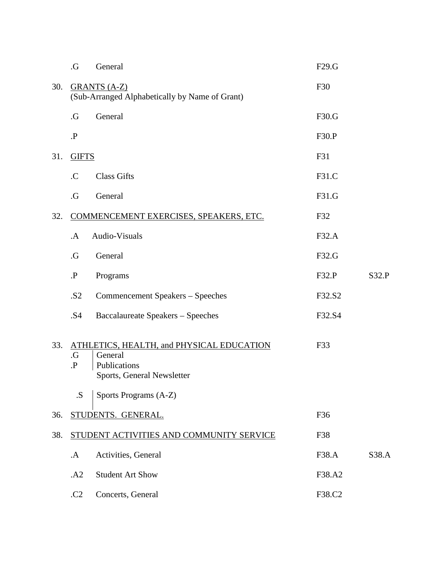|     | .G                     | General                                                                                            | F29.G  |       |
|-----|------------------------|----------------------------------------------------------------------------------------------------|--------|-------|
| 30. |                        | <b>GRANTS (A-Z)</b><br>(Sub-Arranged Alphabetically by Name of Grant)                              | F30    |       |
|     | $\cdot G$              | General                                                                                            | F30.G  |       |
|     | $\cdot$ P              |                                                                                                    | F30.P  |       |
| 31. | <b>GIFTS</b>           |                                                                                                    | F31    |       |
|     | $\mathcal{C}$          | <b>Class Gifts</b>                                                                                 | F31.C  |       |
|     | $\cdot G$              | General                                                                                            | F31.G  |       |
| 32. |                        | COMMENCEMENT EXERCISES, SPEAKERS, ETC.                                                             | F32    |       |
|     | $\mathbf{A}$           | Audio-Visuals                                                                                      | F32.A  |       |
|     | .G                     | General                                                                                            | F32.G  |       |
|     | $\mathbf{P}$           | Programs                                                                                           | F32.P  | S32.P |
|     | .S2                    | Commencement Speakers - Speeches                                                                   | F32.S2 |       |
|     | .S4                    | <b>Baccalaureate Speakers - Speeches</b>                                                           | F32.S4 |       |
| 33. | $\cdot G$<br>$\cdot$ P | ATHLETICS, HEALTH, and PHYSICAL EDUCATION<br>General<br>Publications<br>Sports, General Newsletter | F33    |       |
|     | .S.                    | Sports Programs (A-Z)                                                                              |        |       |
| 36. |                        | STUDENTS. GENERAL.                                                                                 | F36    |       |
| 38. |                        | STUDENT ACTIVITIES AND COMMUNITY SERVICE                                                           | F38    |       |
|     | .A                     | Activities, General                                                                                | F38.A  | S38.A |
|     | .A2                    | <b>Student Art Show</b>                                                                            | F38.A2 |       |
|     | .C2                    | Concerts, General                                                                                  | F38.C2 |       |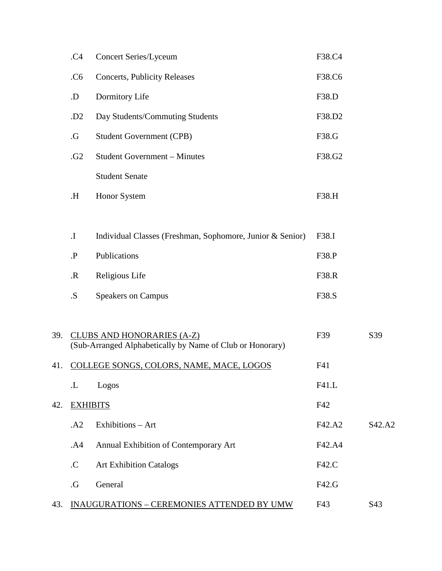|     | .C4                        | <b>Concert Series/Lyceum</b>                              | F38.C4 |        |
|-----|----------------------------|-----------------------------------------------------------|--------|--------|
|     | .C6                        | <b>Concerts, Publicity Releases</b>                       | F38.C6 |        |
|     | .D                         | Dormitory Life                                            | F38.D  |        |
|     | .D <sub>2</sub>            | Day Students/Commuting Students                           | F38.D2 |        |
|     | $\cdot G$                  | <b>Student Government (CPB)</b>                           | F38.G  |        |
|     | .G <sub>2</sub>            | <b>Student Government - Minutes</b>                       | F38.G2 |        |
|     |                            | <b>Student Senate</b>                                     |        |        |
|     | Η.                         | Honor System                                              | F38.H  |        |
|     |                            |                                                           |        |        |
|     | $\boldsymbol{\mathrm{I}}.$ | Individual Classes (Freshman, Sophomore, Junior & Senior) | F38.I  |        |
|     | $\cdot \mathbf{P}$         | Publications                                              | F38.P  |        |
|     | $\mathbf R$                | Religious Life                                            | F38.R  |        |
|     | S                          | <b>Speakers on Campus</b>                                 | F38.S  |        |
|     |                            |                                                           |        |        |
| 39. |                            | <b>CLUBS AND HONORARIES (A-Z)</b>                         | F39    | S39    |
| 41. |                            | (Sub-Arranged Alphabetically by Name of Club or Honorary) | F41    |        |
|     |                            | COLLEGE SONGS, COLORS, NAME, MACE, LOGOS                  |        |        |
|     | $\cdot$ L                  | Logos                                                     | F41.L  |        |
| 42. | <b>EXHIBITS</b>            |                                                           | F42    |        |
|     | .A2                        | Exhibitions - Art                                         | F42.A2 | S42.A2 |
|     | .A4                        | Annual Exhibition of Contemporary Art                     | F42.A4 |        |
|     | $\mathcal{C}$              | <b>Art Exhibition Catalogs</b>                            | F42.C  |        |
|     | $\cdot G$                  | General                                                   | F42.G  |        |
| 43. |                            | <b>INAUGURATIONS - CEREMONIES ATTENDED BY UMW</b>         | F43    | S43    |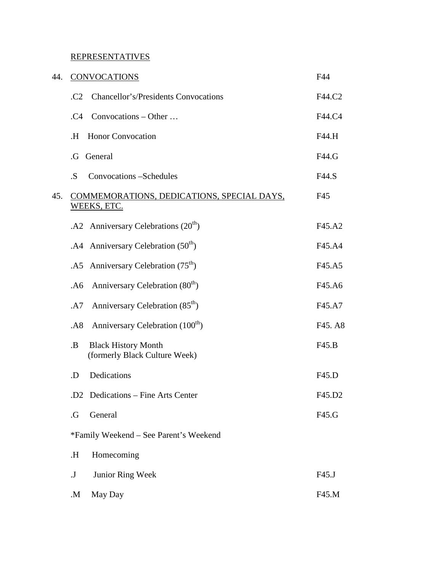## REPRESENTATIVES

| 44. | <b>CONVOCATIONS</b>                                                      | F44     |
|-----|--------------------------------------------------------------------------|---------|
|     | <b>Chancellor's/Presidents Convocations</b><br>C <sub>2</sub>            | F44.C2  |
|     | Convocations $-$ Other $\ldots$<br>.C4                                   | F44.C4  |
|     | <b>Honor Convocation</b><br>Η.                                           | F44.H   |
|     | General<br>.G                                                            | F44.G   |
|     | .S.<br>Convocations -Schedules                                           | F44.S   |
| 45. | COMMEMORATIONS, DEDICATIONS, SPECIAL DAYS,<br>WEEKS, ETC.                | F45     |
|     | .A2 Anniversary Celebrations $(20th)$                                    | F45.A2  |
|     | . A4 Anniversary Celebration $(50th)$                                    | F45.A4  |
|     | .A5 Anniversary Celebration $(75th)$                                     | F45.A5  |
|     | Anniversary Celebration (80 <sup>th</sup> )<br>.A6                       | F45.A6  |
|     | Anniversary Celebration (85 <sup>th</sup> )<br>.A7                       | F45.A7  |
|     | Anniversary Celebration (100 <sup>th</sup> )<br>.A8                      | F45. A8 |
|     | <b>Black History Month</b><br><b>.B</b><br>(formerly Black Culture Week) | F45.B   |
|     | Dedications<br>.D                                                        | F45.D   |
|     | .D2 Dedications - Fine Arts Center                                       | F45.D2  |
|     | General<br>.G                                                            | F45.G   |
|     | *Family Weekend – See Parent's Weekend                                   |         |
|     | Η.<br>Homecoming                                                         |         |
|     | Junior Ring Week<br>${\bf J}$                                            | F45.J   |
|     | May Day<br>M.                                                            | F45.M   |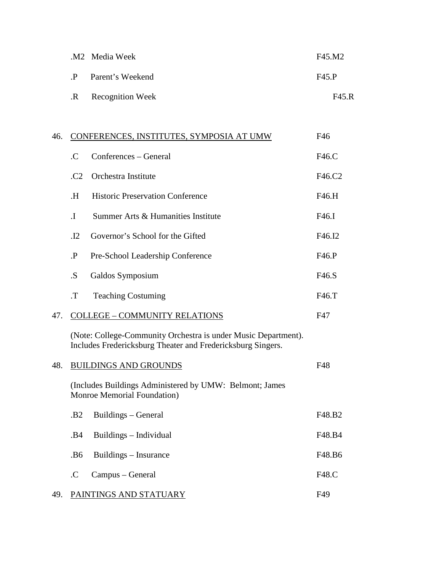|              | .M2 Media Week      | F45.M2 |
|--------------|---------------------|--------|
| $\mathbf{P}$ | Parent's Weekend    | F45.P  |
|              | .R Recognition Week | F45.R  |

| 46. |                 | CONFERENCES, INSTITUTES, SYMPOSIA AT UMW                                                                                      | F46    |
|-----|-----------------|-------------------------------------------------------------------------------------------------------------------------------|--------|
|     | .C              | Conferences – General                                                                                                         | F46.C  |
|     | .C2             | Orchestra Institute                                                                                                           | F46.C2 |
|     | H.              | <b>Historic Preservation Conference</b>                                                                                       | F46.H  |
|     | $\mathbf I$     | Summer Arts & Humanities Institute                                                                                            | F46.I  |
|     | $\cdot$ I2      | Governor's School for the Gifted                                                                                              | F46.I2 |
|     | $\cdot$ P       | Pre-School Leadership Conference                                                                                              | F46.P  |
|     | .S              | Galdos Symposium                                                                                                              | F46.S  |
|     | $T$ .           | <b>Teaching Costuming</b>                                                                                                     | F46.T  |
| 47. |                 | <b>COLLEGE - COMMUNITY RELATIONS</b>                                                                                          | F47    |
|     |                 | (Note: College-Community Orchestra is under Music Department).<br>Includes Fredericksburg Theater and Fredericksburg Singers. |        |
| 48. |                 | <b>BUILDINGS AND GROUNDS</b>                                                                                                  | F48    |
|     |                 | (Includes Buildings Administered by UMW: Belmont; James<br>Monroe Memorial Foundation)                                        |        |
|     | .B <sub>2</sub> | Buildings – General                                                                                                           | F48.B2 |
|     | .B4             | Buildings - Individual                                                                                                        | F48.B4 |
|     | .B6             | Buildings – Insurance                                                                                                         | F48.B6 |
|     | $\mathcal{C}$   | Campus – General                                                                                                              | F48.C  |
| 49. |                 | PAINTINGS AND STATUARY                                                                                                        | F49    |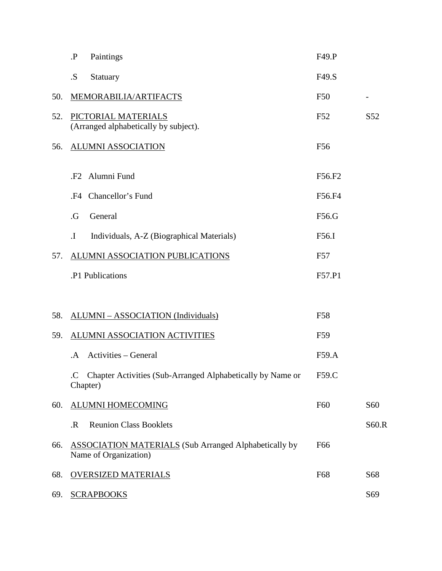|     | $\cdot \mathbf{P}$<br>Paintings                                                       | F49.P           |                 |
|-----|---------------------------------------------------------------------------------------|-----------------|-----------------|
|     | .S.<br>Statuary                                                                       | F49.S           |                 |
| 50. | MEMORABILIA/ARTIFACTS                                                                 | F50             |                 |
| 52. | PICTORIAL MATERIALS<br>(Arranged alphabetically by subject).                          | F52             | S <sub>52</sub> |
| 56. | <b>ALUMNI ASSOCIATION</b>                                                             | F <sub>56</sub> |                 |
|     | Alumni Fund<br>.F2                                                                    | F56.F2          |                 |
|     | Chancellor's Fund<br>.F4                                                              | F56.F4          |                 |
|     | General<br>.G                                                                         | F56.G           |                 |
|     | Individuals, A-Z (Biographical Materials)<br>$\mathbf{I}$ .                           | F56.I           |                 |
| 57. | ALUMNI ASSOCIATION PUBLICATIONS                                                       | F57             |                 |
|     | .P1 Publications                                                                      | F57.P1          |                 |
|     |                                                                                       |                 |                 |
| 58. | <b>ALUMNI – ASSOCIATION (Individuals)</b>                                             | <b>F58</b>      |                 |
| 59. | ALUMNI ASSOCIATION ACTIVITIES                                                         | F59             |                 |
|     | <b>Activities – General</b><br>.A                                                     | F59.A           |                 |
|     | .C Chapter Activities (Sub-Arranged Alphabetically by Name or<br>Chapter)             | F59.C           |                 |
| 60. | <b>ALUMNI HOMECOMING</b>                                                              | F <sub>60</sub> | S60             |
|     | <b>Reunion Class Booklets</b><br>$\mathbf R$                                          |                 | S60.R           |
| 66. | <b>ASSOCIATION MATERIALS</b> (Sub Arranged Alphabetically by<br>Name of Organization) | F <sub>66</sub> |                 |
| 68. | <b>OVERSIZED MATERIALS</b>                                                            | F68             | S68             |
| 69. | <b>SCRAPBOOKS</b>                                                                     |                 | S69             |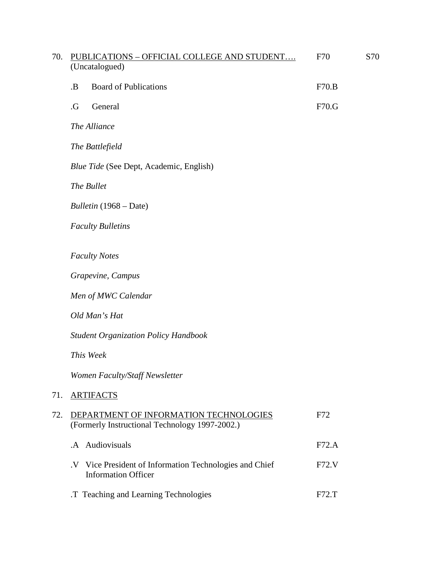| 70. | PUBLICATIONS - OFFICIAL COLLEGE AND STUDENT                                                        | F70   | S70 |
|-----|----------------------------------------------------------------------------------------------------|-------|-----|
|     | (Uncatalogued)                                                                                     |       |     |
|     | <b>Board of Publications</b><br><b>B</b> .                                                         | F70.B |     |
|     | General<br>$\cdot G$                                                                               | F70.G |     |
|     | The Alliance                                                                                       |       |     |
|     | The Battlefield                                                                                    |       |     |
|     | Blue Tide (See Dept, Academic, English)                                                            |       |     |
|     | The Bullet                                                                                         |       |     |
|     | Bulletin (1968 – Date)                                                                             |       |     |
|     | <b>Faculty Bulletins</b>                                                                           |       |     |
|     | <b>Faculty Notes</b>                                                                               |       |     |
|     | Grapevine, Campus                                                                                  |       |     |
|     | Men of MWC Calendar                                                                                |       |     |
|     | Old Man's Hat                                                                                      |       |     |
|     | <b>Student Organization Policy Handbook</b>                                                        |       |     |
|     | This Week                                                                                          |       |     |
|     | Women Faculty/Staff Newsletter                                                                     |       |     |
| 71. | <b>ARTIFACTS</b>                                                                                   |       |     |
| 72. | DEPARTMENT OF INFORMATION TECHNOLOGIES<br>(Formerly Instructional Technology 1997-2002.)           | F72   |     |
|     | .A Audiovisuals                                                                                    | F72.A |     |
|     | Vice President of Information Technologies and Chief<br>$\mathbf{V}$<br><b>Information Officer</b> | F72.V |     |
|     | .T Teaching and Learning Technologies                                                              | F72.T |     |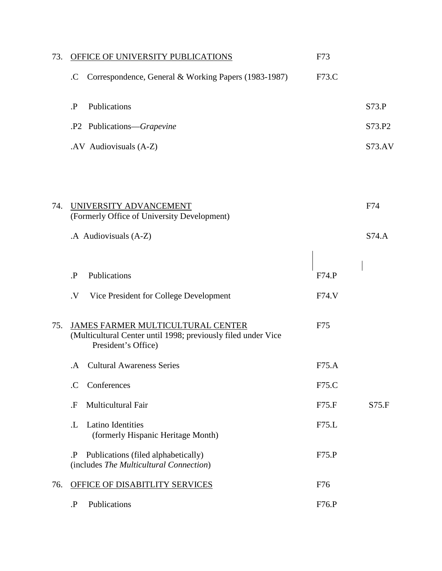| 73. | OFFICE OF UNIVERSITY PUBLICATIONS                                                                                         | F73   |        |
|-----|---------------------------------------------------------------------------------------------------------------------------|-------|--------|
|     | Correspondence, General & Working Papers (1983-1987)<br>.C                                                                | F73.C |        |
|     | Publications<br>$\cdot$ P                                                                                                 |       | S73.P  |
|     | .P2 Publications—Grapevine                                                                                                |       | S73.P2 |
|     | .AV Audiovisuals (A-Z)                                                                                                    |       | S73.AV |
|     |                                                                                                                           |       |        |
| 74. | UNIVERSITY ADVANCEMENT<br>(Formerly Office of University Development)                                                     |       | F74    |
|     | .A Audiovisuals (A-Z)                                                                                                     |       | S74.A  |
|     |                                                                                                                           |       |        |
|     | Publications<br>$\mathbf{P}$                                                                                              | F74.P |        |
|     | Vice President for College Development<br>$\cdot$ V                                                                       | F74.V |        |
| 75. | JAMES FARMER MULTICULTURAL CENTER<br>(Multicultural Center until 1998; previously filed under Vice<br>President's Office) | F75   |        |
|     | <b>Cultural Awareness Series</b><br>.A                                                                                    | F75.A |        |
|     | Conferences<br>$\mathcal{C}$                                                                                              | F75.C |        |
|     | Multicultural Fair<br>.F                                                                                                  | F75.F | S75.F  |
|     | <b>Latino Identities</b><br>.L<br>(formerly Hispanic Heritage Month)                                                      | F75.L |        |
|     | Publications (filed alphabetically)<br>Ъ.<br>(includes The Multicultural Connection)                                      | F75.P |        |
| 76. | OFFICE OF DISABITLITY SERVICES                                                                                            | F76   |        |
|     | Publications<br>$\mathbf{P}$                                                                                              | F76.P |        |